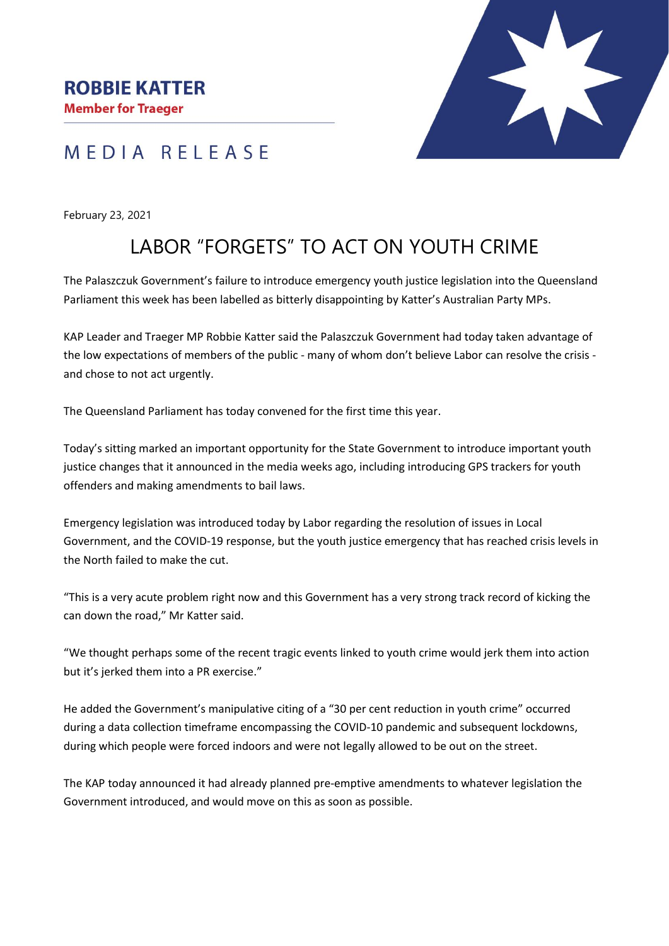## MEDIA RELEASE

February 23, 2021

# LABOR "FORGETS" TO ACT ON YOUTH CRIME

The Palaszczuk Government's failure to introduce emergency youth justice legislation into the Queensland Parliament this week has been labelled as bitterly disappointing by Katter's Australian Party MPs.

KAP Leader and Traeger MP Robbie Katter said the Palaszczuk Government had today taken advantage of the low expectations of members of the public - many of whom don't believe Labor can resolve the crisis and chose to not act urgently.

The Queensland Parliament has today convened for the first time this year.

Today's sitting marked an important opportunity for the State Government to introduce important youth justice changes that it announced in the media weeks ago, including introducing GPS trackers for youth offenders and making amendments to bail laws.

Emergency legislation was introduced today by Labor regarding the resolution of issues in Local Government, and the COVID-19 response, but the youth justice emergency that has reached crisis levels in the North failed to make the cut.

"This is a very acute problem right now and this Government has a very strong track record of kicking the can down the road," Mr Katter said.

"We thought perhaps some of the recent tragic events linked to youth crime would jerk them into action but it's jerked them into a PR exercise."

He added the Government's manipulative citing of a "30 per cent reduction in youth crime" occurred during a data collection timeframe encompassing the COVID-10 pandemic and subsequent lockdowns, during which people were forced indoors and were not legally allowed to be out on the street.

The KAP today announced it had already planned pre-emptive amendments to whatever legislation the Government introduced, and would move on this as soon as possible.